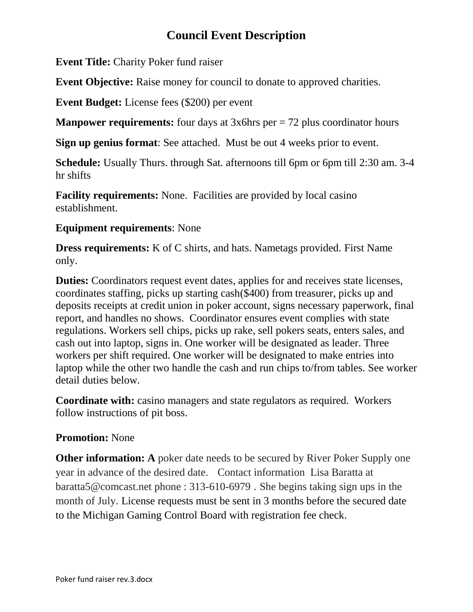**Event Title:** Charity Poker fund raiser

**Event Objective:** Raise money for council to donate to approved charities.

**Event Budget:** License fees (\$200) per event

**Manpower requirements:** four days at 3x6hrs per = 72 plus coordinator hours

**Sign up genius format**: See attached. Must be out 4 weeks prior to event.

**Schedule:** Usually Thurs. through Sat. afternoons till 6pm or 6pm till 2:30 am. 3-4 hr shifts

**Facility requirements:** None. Facilities are provided by local casino establishment.

### **Equipment requirements**: None

**Dress requirements:** K of C shirts, and hats. Nametags provided. First Name only.

**Duties:** Coordinators request event dates, applies for and receives state licenses, coordinates staffing, picks up starting cash(\$400) from treasurer, picks up and deposits receipts at credit union in poker account, signs necessary paperwork, final report, and handles no shows. Coordinator ensures event complies with state regulations. Workers sell chips, picks up rake, sell pokers seats, enters sales, and cash out into laptop, signs in. One worker will be designated as leader. Three workers per shift required. One worker will be designated to make entries into laptop while the other two handle the cash and run chips to/from tables. See worker detail duties below.

**Coordinate with:** casino managers and state regulators as required. Workers follow instructions of pit boss.

### **Promotion:** None

**Other information:** A poker date needs to be secured by River Poker Supply one year in advance of the desired date. Contact information Lisa Baratta at baratta5@comcast.net phone : 313-610-6979 . She begins taking sign ups in the month of July. License requests must be sent in 3 months before the secured date to the Michigan Gaming Control Board with registration fee check.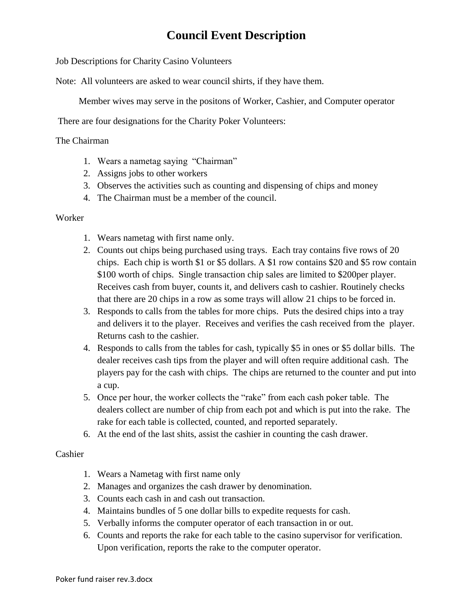Job Descriptions for Charity Casino Volunteers

Note: All volunteers are asked to wear council shirts, if they have them.

Member wives may serve in the positons of Worker, Cashier, and Computer operator

There are four designations for the Charity Poker Volunteers:

#### The Chairman

- 1. Wears a nametag saying "Chairman"
- 2. Assigns jobs to other workers
- 3. Observes the activities such as counting and dispensing of chips and money
- 4. The Chairman must be a member of the council.

#### Worker

- 1. Wears nametag with first name only.
- 2. Counts out chips being purchased using trays. Each tray contains five rows of 20 chips. Each chip is worth \$1 or \$5 dollars. A \$1 row contains \$20 and \$5 row contain \$100 worth of chips. Single transaction chip sales are limited to \$200per player. Receives cash from buyer, counts it, and delivers cash to cashier. Routinely checks that there are 20 chips in a row as some trays will allow 21 chips to be forced in.
- 3. Responds to calls from the tables for more chips. Puts the desired chips into a tray and delivers it to the player. Receives and verifies the cash received from the player. Returns cash to the cashier.
- 4. Responds to calls from the tables for cash, typically \$5 in ones or \$5 dollar bills. The dealer receives cash tips from the player and will often require additional cash. The players pay for the cash with chips. The chips are returned to the counter and put into a cup.
- 5. Once per hour, the worker collects the "rake" from each cash poker table. The dealers collect are number of chip from each pot and which is put into the rake. The rake for each table is collected, counted, and reported separately.
- 6. At the end of the last shits, assist the cashier in counting the cash drawer.

#### Cashier

- 1. Wears a Nametag with first name only
- 2. Manages and organizes the cash drawer by denomination.
- 3. Counts each cash in and cash out transaction.
- 4. Maintains bundles of 5 one dollar bills to expedite requests for cash.
- 5. Verbally informs the computer operator of each transaction in or out.
- 6. Counts and reports the rake for each table to the casino supervisor for verification. Upon verification, reports the rake to the computer operator.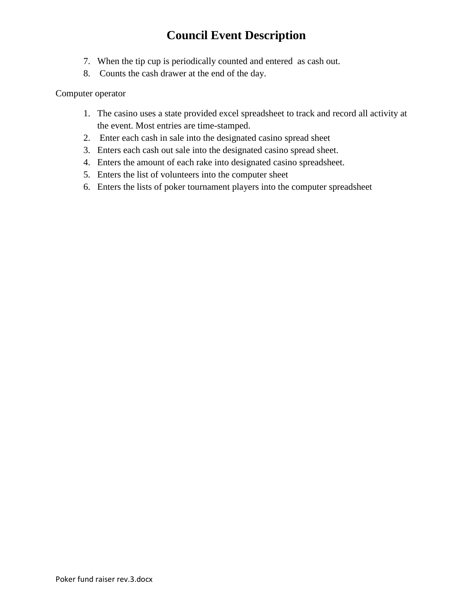- 7. When the tip cup is periodically counted and entered as cash out.
- 8. Counts the cash drawer at the end of the day.

#### Computer operator

- 1. The casino uses a state provided excel spreadsheet to track and record all activity at the event. Most entries are time-stamped.
- 2. Enter each cash in sale into the designated casino spread sheet
- 3. Enters each cash out sale into the designated casino spread sheet.
- 4. Enters the amount of each rake into designated casino spreadsheet.
- 5. Enters the list of volunteers into the computer sheet
- 6. Enters the lists of poker tournament players into the computer spreadsheet